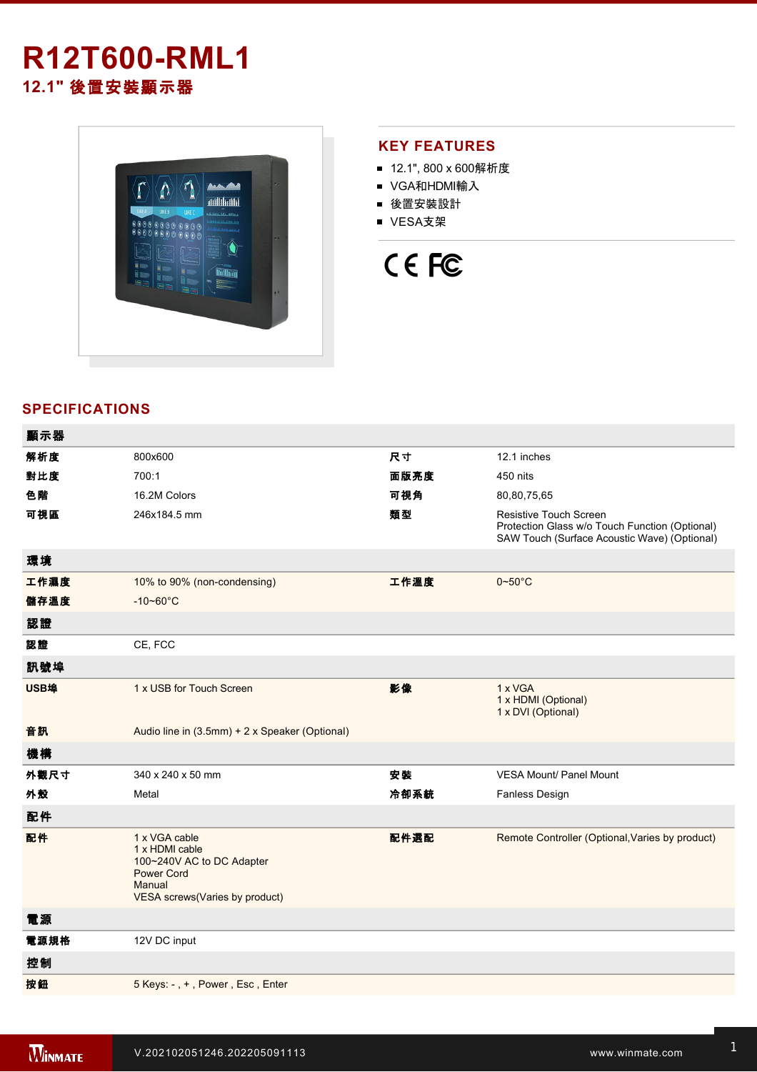## **R12T600-RML1 12.1"** 後置安裝顯示器



## **KEY FEATURES**

- 12.1", 800 x 600解析度
- VGA和HDMI輸入
- 後置安裝設計
- VESA支架



## **SPECIFICATIONS**

| 顯示器  |                                                                                                                               |      |                                                                                                                                 |
|------|-------------------------------------------------------------------------------------------------------------------------------|------|---------------------------------------------------------------------------------------------------------------------------------|
| 解析度  | 800x600                                                                                                                       | 尺寸   | 12.1 inches                                                                                                                     |
| 對比度  | 700:1                                                                                                                         | 面版亮度 | 450 nits                                                                                                                        |
| 色階   | 16.2M Colors                                                                                                                  | 可視角  | 80,80,75,65                                                                                                                     |
| 可視區  | 246x184.5 mm                                                                                                                  | 類型   | <b>Resistive Touch Screen</b><br>Protection Glass w/o Touch Function (Optional)<br>SAW Touch (Surface Acoustic Wave) (Optional) |
| 環境   |                                                                                                                               |      |                                                                                                                                 |
| 工作濕度 | 10% to 90% (non-condensing)                                                                                                   | 工作溫度 | $0 - 50$ °C                                                                                                                     |
| 儲存溫度 | $-10 - 60^{\circ}$ C                                                                                                          |      |                                                                                                                                 |
| 認證   |                                                                                                                               |      |                                                                                                                                 |
| 認證   | CE, FCC                                                                                                                       |      |                                                                                                                                 |
| 訊號埠  |                                                                                                                               |      |                                                                                                                                 |
| USB埠 | 1 x USB for Touch Screen                                                                                                      | 影像   | 1 x VGA<br>1 x HDMI (Optional)<br>1 x DVI (Optional)                                                                            |
| 音訊   | Audio line in (3.5mm) + 2 x Speaker (Optional)                                                                                |      |                                                                                                                                 |
| 機構   |                                                                                                                               |      |                                                                                                                                 |
| 外觀尺寸 | 340 x 240 x 50 mm                                                                                                             | 安装   | <b>VESA Mount/ Panel Mount</b>                                                                                                  |
| 外殼   | Metal                                                                                                                         | 冷卻系統 | Fanless Design                                                                                                                  |
| 配件   |                                                                                                                               |      |                                                                                                                                 |
| 配件   | 1 x VGA cable<br>1 x HDMI cable<br>100~240V AC to DC Adapter<br><b>Power Cord</b><br>Manual<br>VESA screws(Varies by product) | 配件選配 | Remote Controller (Optional, Varies by product)                                                                                 |
| 電源   |                                                                                                                               |      |                                                                                                                                 |
| 電源規格 | 12V DC input                                                                                                                  |      |                                                                                                                                 |
| 控制   |                                                                                                                               |      |                                                                                                                                 |
| 按鈕   | 5 Keys: -, +, Power, Esc, Enter                                                                                               |      |                                                                                                                                 |
|      |                                                                                                                               |      |                                                                                                                                 |

**DIMENSIONS**  UNIT:MM